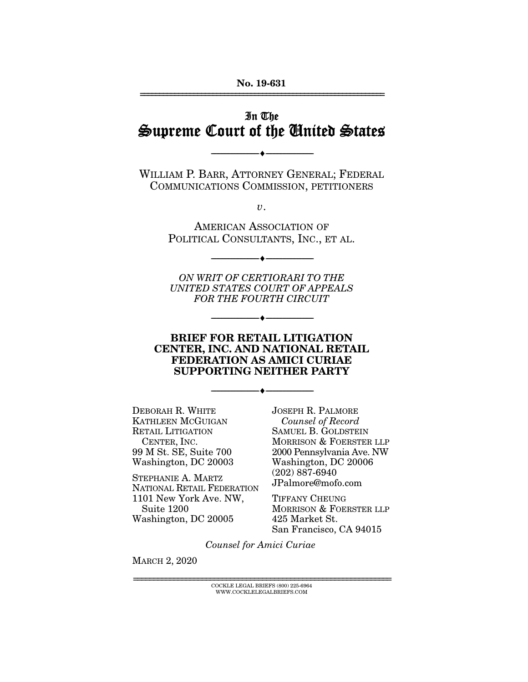#### **No. 19-631**  ================================================================

## In The Supreme Court of the United States

WILLIAM P. BARR, ATTORNEY GENERAL; FEDERAL<br>COMMUNICATIONS COMMISSION, PETITIONERS COMMUNICATIONS COMMISSION, PETITIONERS

 $\overbrace{\hspace{27mm}}$   $\overbrace{\hspace{27mm}}$ 

 $\overline{\nu}$ .

AMERICAN ASSOCIATION OF<br>POLITICAL CONSULTANTS, INC., ET AL.  $\mathcal{L}$  construction construction  $\mathcal{L}$ ,  $\mathcal{L}$ ,  $\mathcal{L}$ ,  $\mathcal{L}$ ,  $\mathcal{L}$ ,  $\mathcal{L}$ ,  $\mathcal{L}$ ,  $\mathcal{L}$ ,  $\mathcal{L}$ ,  $\mathcal{L}$ ,  $\mathcal{L}$ ,  $\mathcal{L}$ ,  $\mathcal{L}$ ,  $\mathcal{L}$ ,  $\mathcal{L}$ ,  $\mathcal{L}$ ,  $\mathcal{L}$ ,  $\mathcal{L}$ ,  $\mathcal{L$ 

 $\overbrace{\hspace{27mm}}$   $\overbrace{\hspace{27mm}}$ 

ON WRIT OF CERTIORARI TO THE UNITED STATES COURT OF APPEALS FOR THE FOURTH CIRCUIT

#### **BRIEF FOR RETAIL LITIGATION CENTER, INC. AND NATIONAL RETAIL FEDERATION AS AMICI CURIAE SUPPORTING NEITHER PARTY**

 $\overbrace{\hspace{27mm}}$   $\overbrace{\hspace{27mm}}$ 

 $\overbrace{\hspace{27mm}}$   $\overbrace{\hspace{27mm}}$ 

DEBORAH R. WHITE RETAIL LITIGATION CENTER. INC. 99 M St. SE, Suite 700 Washington, DC 20003

STEPHANIE A. MARTZ NATIONAL RETAIL FEDERATION 1101 New York Ave. NW, Suite 1200 Washington, DC 20005  $W$  was expected on  $\mathcal{L}$ 

Counsel of Record SAMUEL B. GOLDSTEIN<br>MORRISON & FOERSTER LLP 2000 Pennsylvania Ave. NW Washington, DC 20006  $(202) 887 - 6940$ JPalmore@mofo.com

TIFFANY CHEUNG MORRISON & FOERSTER LLP 425 Market St. 525 Marties von<br>San Francisco san Francisco, CA 94015

Counsel for Amici Curiae

MARCH 2, 2020

COCKLE LEGAL BRIEFS (800) 225-6964<br>WWW.COCKLELEGALBRIEFS.COM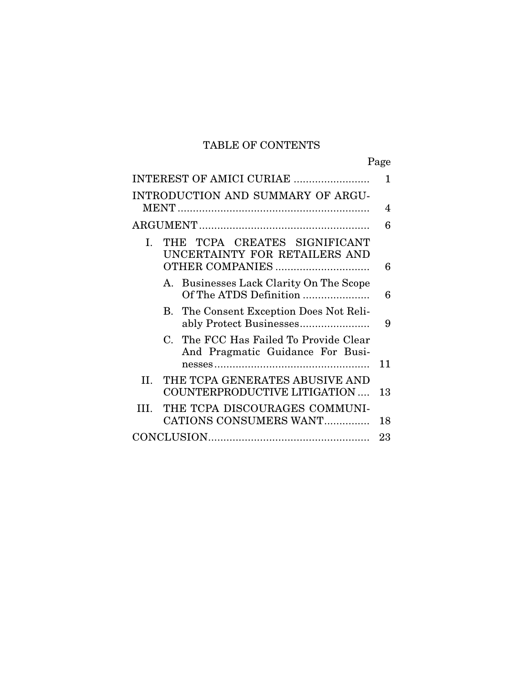## TABLE OF CONTENTS

| INTEREST OF AMICI CURIAE                                                   | 1  |
|----------------------------------------------------------------------------|----|
| INTRODUCTION AND SUMMARY OF ARGU-                                          | 4  |
|                                                                            | 6  |
| THE TCPA CREATES SIGNIFICANT<br>L.<br>UNCERTAINTY FOR RETAILERS AND        | 6  |
| A. Businesses Lack Clarity On The Scope<br>Of The ATDS Definition          | 6  |
| B. The Consent Exception Does Not Reli-                                    | 9  |
| C. The FCC Has Failed To Provide Clear<br>And Pragmatic Guidance For Busi- | 11 |
| THE TCPA GENERATES ABUSIVE AND<br>II.<br>COUNTERPRODUCTIVE LITIGATION      | 13 |
| THE TCPA DISCOURAGES COMMUNI-<br>III.<br>CATIONS CONSUMERS WANT            | 18 |
|                                                                            | 23 |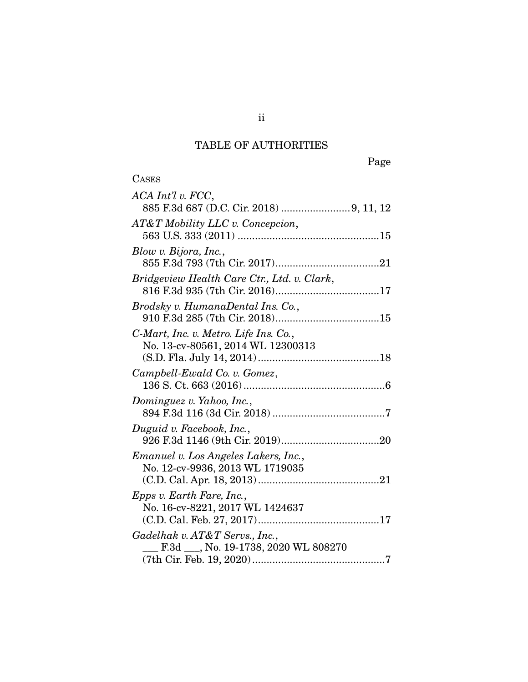# TABLE OF AUTHORITIES

| ◟<br>۰.<br>A | ч<br>∽ |
|--------------|--------|
| ים הי        |        |

| $ACA$ $Int'l$ v. $FCC$ ,                                                   |
|----------------------------------------------------------------------------|
| AT&T Mobility LLC v. Concepcion,                                           |
| Blow v. Bijora, Inc.,                                                      |
| Bridgeview Health Care Ctr., Ltd. v. Clark,                                |
| Brodsky v. HumanaDental Ins. Co.,                                          |
| C-Mart, Inc. v. Metro. Life Ins. Co.,<br>No. 13-cv-80561, 2014 WL 12300313 |
| Campbell-Ewald Co. v. Gomez,                                               |
| Dominguez v. Yahoo, Inc.,                                                  |
| Duguid v. Facebook, Inc.,                                                  |
| Emanuel v. Los Angeles Lakers, Inc.,<br>No. 12-cv-9936, 2013 WL 1719035    |
| <i>Epps v. Earth Fare, Inc.,</i><br>No. 16-cv-8221, 2017 WL 1424637        |
| Gadelhak v. AT&T Servs., Inc.,<br>F.3d __, No. 19-1738, 2020 WL 808270     |
|                                                                            |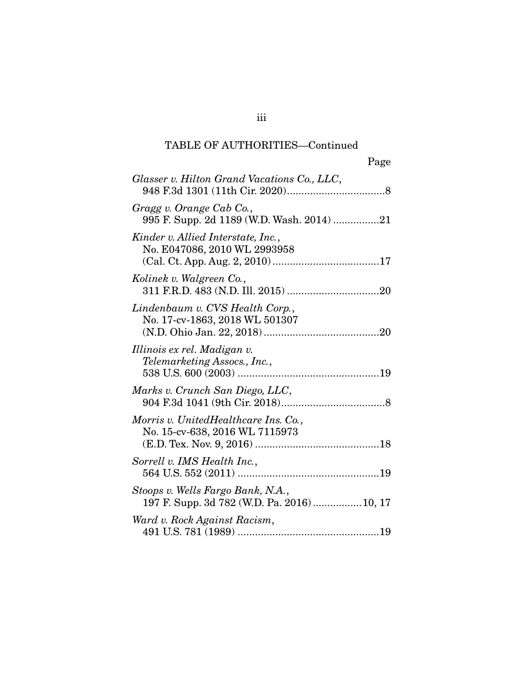| Page                                                                           |
|--------------------------------------------------------------------------------|
| Glasser v. Hilton Grand Vacations Co., LLC,                                    |
| Gragg v. Orange Cab Co.,<br>995 F. Supp. 2d 1189 (W.D. Wash. 2014) 21          |
| Kinder v. Allied Interstate, Inc.,<br>No. E047086, 2010 WL 2993958             |
| Kolinek v. Walgreen Co.,                                                       |
| Lindenbaum v. CVS Health Corp.,<br>No. 17-cv-1863, 2018 WL 501307              |
| Illinois ex rel. Madigan v.<br>Telemarketing Assocs., Inc.,                    |
| Marks v. Crunch San Diego, LLC,                                                |
| Morris v. UnitedHealthcare Ins. Co.,<br>No. 15-cv-638, 2016 WL 7115973         |
| Sorrell v. IMS Health Inc.,                                                    |
| Stoops v. Wells Fargo Bank, N.A.,<br>197 F. Supp. 3d 782 (W.D. Pa. 2016)10, 17 |
| Ward v. Rock Against Racism,<br>19<br>491 JIS 781 (1989)                       |

491 U.S. 781 (1989) ................................................. 19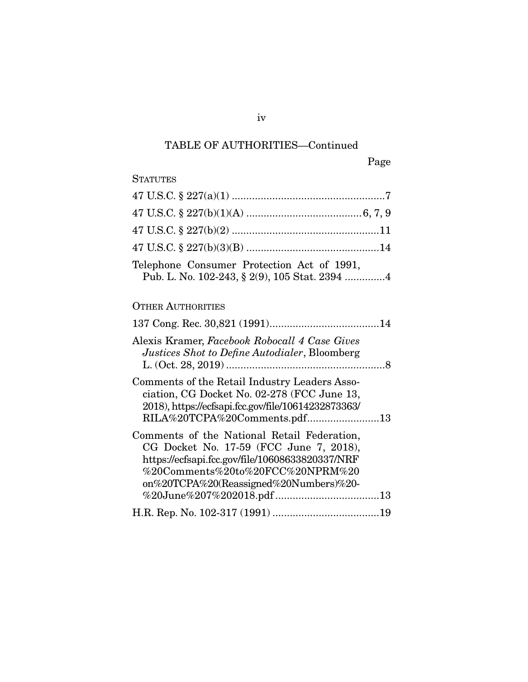| <b>STATUTES</b>                                                                                                                                                                                                         |
|-------------------------------------------------------------------------------------------------------------------------------------------------------------------------------------------------------------------------|
|                                                                                                                                                                                                                         |
|                                                                                                                                                                                                                         |
|                                                                                                                                                                                                                         |
|                                                                                                                                                                                                                         |
| Telephone Consumer Protection Act of 1991,                                                                                                                                                                              |
| <b>OTHER AUTHORITIES</b>                                                                                                                                                                                                |
|                                                                                                                                                                                                                         |
| Alexis Kramer, Facebook Robocall 4 Case Gives<br>Justices Shot to Define Autodialer, Bloomberg                                                                                                                          |
| Comments of the Retail Industry Leaders Asso-<br>ciation, CG Docket No. 02-278 (FCC June 13,<br>2018), https://ecfsapi.fcc.gov/file/10614232873363/<br>RILA%20TCPA%20Comments.pdf13                                     |
| Comments of the National Retail Federation,<br>CG Docket No. 17-59 (FCC June 7, 2018),<br>https://ecfsapi.fcc.gov/file/10608633820337/NRF<br>%20Comments%20to%20FCC%20NPRM%20<br>on%20TCPA%20(Reassigned%20Numbers)%20- |
|                                                                                                                                                                                                                         |

iv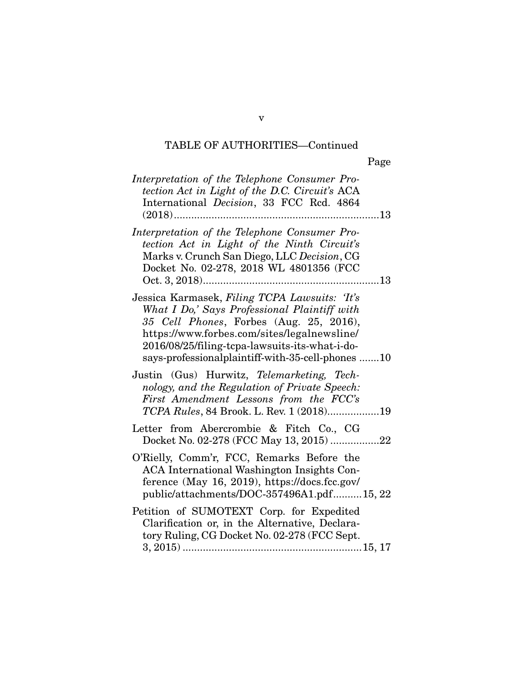|                                                                                                                                                                                                                                                                                               | Page |
|-----------------------------------------------------------------------------------------------------------------------------------------------------------------------------------------------------------------------------------------------------------------------------------------------|------|
| Interpretation of the Telephone Consumer Pro-<br>tection Act in Light of the D.C. Circuit's ACA<br>International Decision, 33 FCC Rcd. 4864<br>$(2018)$                                                                                                                                       | 13   |
| Interpretation of the Telephone Consumer Pro-<br>tection Act in Light of the Ninth Circuit's<br>Marks v. Crunch San Diego, LLC Decision, CG<br>Docket No. 02-278, 2018 WL 4801356 (FCC                                                                                                        |      |
| Jessica Karmasek, Filing TCPA Lawsuits: Tt's<br>What I Do,' Says Professional Plaintiff with<br>35 Cell Phones, Forbes (Aug. 25, 2016),<br>https://www.forbes.com/sites/legalnewsline/<br>2016/08/25/filing-tcpa-lawsuits-its-what-i-do-<br>says-professionalplaintiff-with-35-cell-phones 10 |      |
| Justin (Gus) Hurwitz, Telemarketing, Tech-<br>nology, and the Regulation of Private Speech:<br>First Amendment Lessons from the FCC's<br>TCPA Rules, 84 Brook. L. Rev. 1 (2018)19                                                                                                             |      |
| Letter from Abercrombie & Fitch Co., CG<br>Docket No. 02-278 (FCC May 13, 2015)                                                                                                                                                                                                               | 22   |
| O'Rielly, Comm'r, FCC, Remarks Before the<br>ACA International Washington Insights Con-<br>ference (May 16, 2019), https://docs.fcc.gov/<br>public/attachments/DOC-357496A1.pdf15, 22                                                                                                         |      |
| Petition of SUMOTEXT Corp. for Expedited<br>Clarification or, in the Alternative, Declara-<br>tory Ruling, CG Docket No. 02-278 (FCC Sept.<br>$3\,2015$<br>15 17                                                                                                                              |      |

3, 2015) .............................................................. 15, 17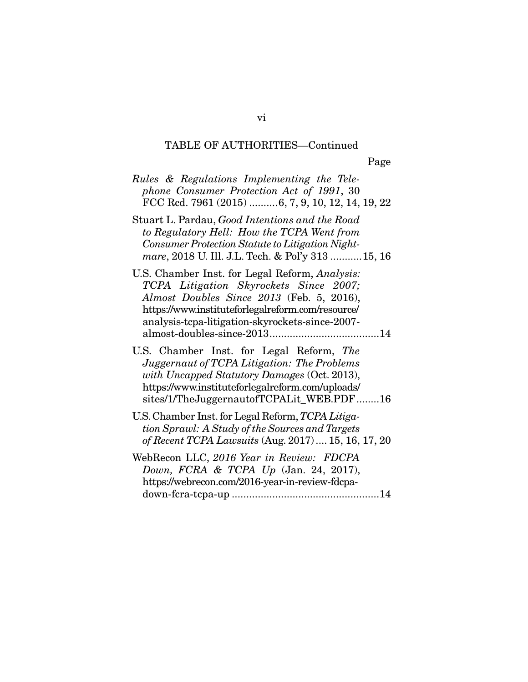| phone Consumer Protection Act of 1991, 30<br>FCC Rcd. 7961 (2015) 6, 7, 9, 10, 12, 14, 19, 22<br>to Regulatory Hell: How the TCPA Went from<br>Consumer Protection Statute to Litigation Night-<br>mare, 2018 U. Ill. J.L. Tech. & Pol'y 313  15, 16<br>TCPA Litigation Skyrockets Since 2007;<br>Almost Doubles Since 2013 (Feb. 5, 2016),<br>https://www.instituteforlegalreform.com/resource/<br>analysis-tcpa-litigation-skyrockets-since-2007-<br>Juggernaut of TCPA Litigation: The Problems<br>with Uncapped Statutory Damages (Oct. 2013),<br>https://www.instituteforlegalreform.com/uploads/<br>sites/1/TheJuggernautofTCPALit_WEB.PDF16<br>tion Sprawl: A Study of the Sources and Targets<br>of Recent TCPA Lawsuits (Aug. 2017)  15, 16, 17, 20<br>Down, FCRA & TCPA $Up$ (Jan. 24, 2017),<br>https://webrecon.com/2016-year-in-review-fdcpa- |                                                   |  |
|------------------------------------------------------------------------------------------------------------------------------------------------------------------------------------------------------------------------------------------------------------------------------------------------------------------------------------------------------------------------------------------------------------------------------------------------------------------------------------------------------------------------------------------------------------------------------------------------------------------------------------------------------------------------------------------------------------------------------------------------------------------------------------------------------------------------------------------------------------|---------------------------------------------------|--|
|                                                                                                                                                                                                                                                                                                                                                                                                                                                                                                                                                                                                                                                                                                                                                                                                                                                            | Rules & Regulations Implementing the Tele-        |  |
|                                                                                                                                                                                                                                                                                                                                                                                                                                                                                                                                                                                                                                                                                                                                                                                                                                                            | Stuart L. Pardau, Good Intentions and the Road    |  |
|                                                                                                                                                                                                                                                                                                                                                                                                                                                                                                                                                                                                                                                                                                                                                                                                                                                            | U.S. Chamber Inst. for Legal Reform, Analysis:    |  |
|                                                                                                                                                                                                                                                                                                                                                                                                                                                                                                                                                                                                                                                                                                                                                                                                                                                            | U.S. Chamber Inst. for Legal Reform, The          |  |
|                                                                                                                                                                                                                                                                                                                                                                                                                                                                                                                                                                                                                                                                                                                                                                                                                                                            | U.S. Chamber Inst. for Legal Reform, TCPA Litiga- |  |
|                                                                                                                                                                                                                                                                                                                                                                                                                                                                                                                                                                                                                                                                                                                                                                                                                                                            | WebRecon LLC, 2016 Year in Review: FDCPA          |  |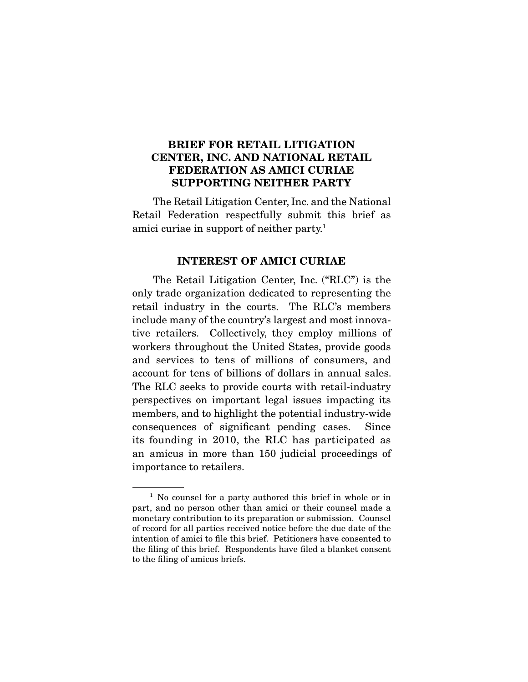### **BRIEF FOR RETAIL LITIGATION CENTER, INC. AND NATIONAL RETAIL FEDERATION AS AMICI CURIAE SUPPORTING NEITHER PARTY**

The Retail Litigation Center, Inc. and the National<br>Retail Federation respectfully submit this brief as  $R_{\text{F}}$   $\sim$   $R_{\text{F}}$   $\sim$   $R_{\text{F}}$  and  $\sim$   $R_{\text{F}}$  as  $\sim$   $R_{\text{F}}$  as  $\sim$   $R_{\text{F}}$  as  $\sim$   $R_{\text{F}}$  as  $\sim$   $R_{\text{F}}$  and  $\sim$   $R_{\text{F}}$  and  $\sim$   $R_{\text{F}}$  and  $\sim$   $R_{\text{F}}$  and  $\sim$   $R_{\text{F}}$  and  $\sim$   $R_{\text$ amici curiae in support of neither party.1

#### **INTEREST OF AMICI CURIAE**

The Retail Litigation Center, Inc. ("RLC") is the only trade organization dedicated to representing the retail industry in the courts. The RLC's members include many of the country's largest and most innovative retailers. Collectively, they employ millions of workers throughout the United States, provide goods and services to tens of millions of consumers, and account for tens of billions of dollars in annual sales. The RLC seeks to provide courts with retail-industry perspectives on important legal issues impacting its members, and to highlight the potential industry-wide consequences of significant pending cases. Since its founding in 2010, the RLC has participated as an amicus in more than 150 judicial proceedings of  $\frac{1}{2}$  in mortance to retail are importance to retailers.

 $1$  No counsel for a party authored this brief in whole or in part, and no person other than amici or their counsel made a monetary contribution to its preparation or submission. Counsel of record for all parties received notice before the due date of the intention of amici to file this brief. Petitioners have consented to the filing of this brief. Respondents have filed a blanket consent to the filing of amicus briefs.  $\sum_{i=1}^{n}$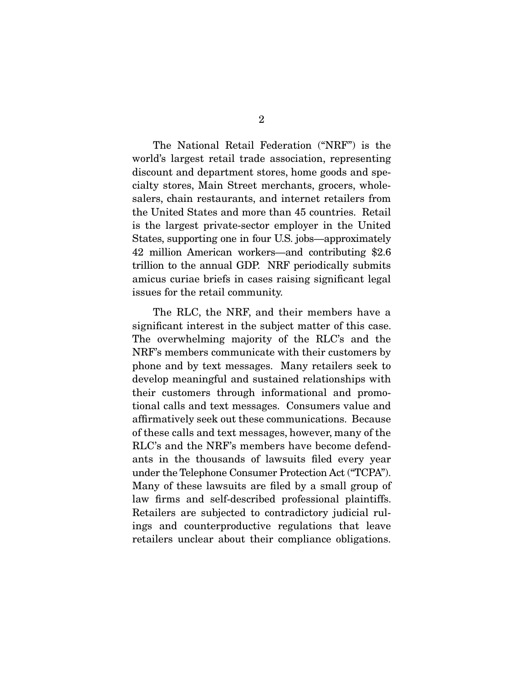The National Retail Federation ("NRF") is the world's largest retail trade association, representing discount and department stores, home goods and specialty stores, Main Street merchants, grocers, wholesalers, chain restaurants, and internet retailers from the United States and more than 45 countries. Retail is the largest private-sector employer in the United. States, supporting one in four U.S. jobs—approximately 42 million American workers—and contributing \$2.6 trillion to the annual GDP. NRF periodically submits amicus curiae briefs in cases raising significant legal  $\frac{1}{2}$  is the finite of the raising significant legal significant legal significant legal significant legal significant legal significant legal significant legal significant legal significant legal significant legal si issues for the retail community.

The RLC, the NRF, and their members have a significant interest in the subject matter of this case. The overwhelming majority of the RLC's and the NRF's members communicate with their customers by phone and by text messages. Many retailers seek to develop meaningful and sustained relationships with their customers through informational and promotional calls and text messages. Consumers value and affirmatively seek out these communications. Because of these calls and text messages, however, many of the RLC's and the NRF's members have become defendants in the thousands of lawsuits filed every year under the Telephone Consumer Protection Act ("TCPA"). Many of these lawsuits are filed by a small group of law firms and self-described professional plaintiffs. Retailers are subjected to contradictory judicial rulings and counterproductive regulations that leave ings and counterproductive regulations that reductions retailers unclear about their compliance obligations.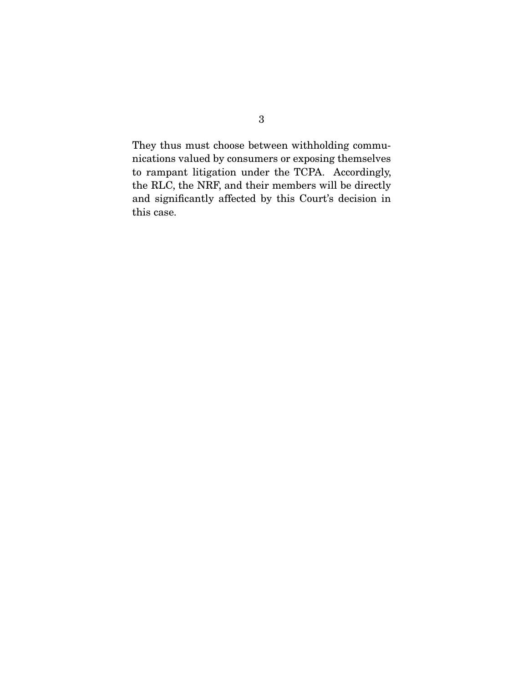They thus must choose between withholding communications valued by consumers or exposing themselves to rampant litigation under the TCPA. Accordingly, the RLC, the NRF, and their members will be directly and significantly affected by this  $C_{\text{out}}$  decision in  $\frac{1}{\pi}$  significantly affected by the court's decision in  $\frac{1}{\pi}$ this case.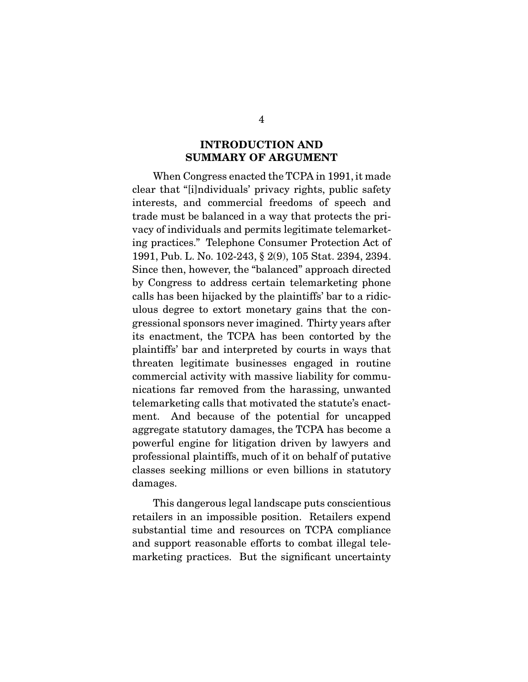### **INTRODUCTION AND SUMMARY OF ARGUMENT**

When Congress enacted the TCPA in 1991, it made<br>clear that "[i]ndividuals' privacy rights, public safety interests, and commercial freedoms of speech and trade must be balanced in a way that protects the privacy of individuals and permits legitimate telemarketing practices." Telephone Consumer Protection Act of 1991, Pub. L. No. 102-243, § 2(9), 105 Stat. 2394, 2394. Since then, however, the "balanced" approach directed by Congress to address certain telemarketing phone calls has been hijacked by the plaintiffs' bar to a ridiculous degree to extort monetary gains that the congressional sponsors never imagined. Thirty years after its enactment, the TCPA has been contorted by the plaintiffs' bar and interpreted by courts in ways that threaten legitimate businesses engaged in routine commercial activity with massive liability for communications far removed from the harassing, unwanted telemarketing calls that motivated the statute's enactment. And because of the potential for uncapped aggregate statutory damages, the TCPA has become a powerful engine for litigation driven by lawyers and professional plaintiffs, much of it on behalf of putative classes seeking millions or even billions in statutory classes seeking millions or even billions in statutory  $\overline{\phantom{a}}$ 

This dangerous legal landscape puts conscientious<br>retailers in an impossible position. Retailers expend substantial time and resources on TCPA compliance and support reasonable efforts to combat illegal teleand support reasonable efforts to combat in gal telemarketing practices. But the single significant uncertainty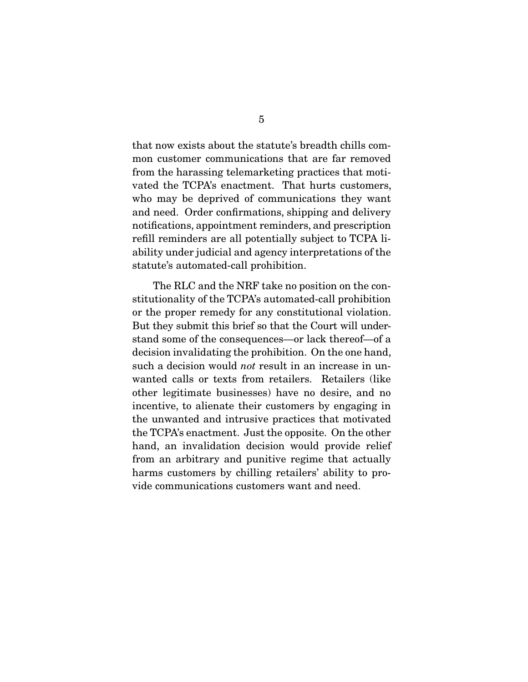that now exists about the statute's breadth chills comfrom the harassing telemarketing practices that motivated the TCPA's enactment. That hurts customers, who may be deprived of communications they want and need. Order confirmations, shipping and delivery notifications, appointment reminders, and prescription refill reminders are all potentially subject to TCPA liability under judicial and agency interpretations of the statute's automated-call prohibition. statute automated-call problems  $\mathbf{r}$ 

The RLC and the NRF take no position on the constitutionality of the TCPA's automated-call prohibition or the proper remedy for any constitutional violation. But they submit this brief so that the Court will understand some of the consequences—or lack thereof—of a decision invalidating the prohibition. On the one hand, such a decision would *not* result in an increase in unwanted calls or texts from retailers. Retailers (like incentive, to alienate their customers by engaging in the unwanted and intrusive practices that motivated the TCPA's enactment. Just the opposite. On the other hand, an invalidation decision would provide relief from an arbitrary and punitive regime that actually harms customers by chilling retailers' ability to provide communications customers want and need. vide communications customers want and need.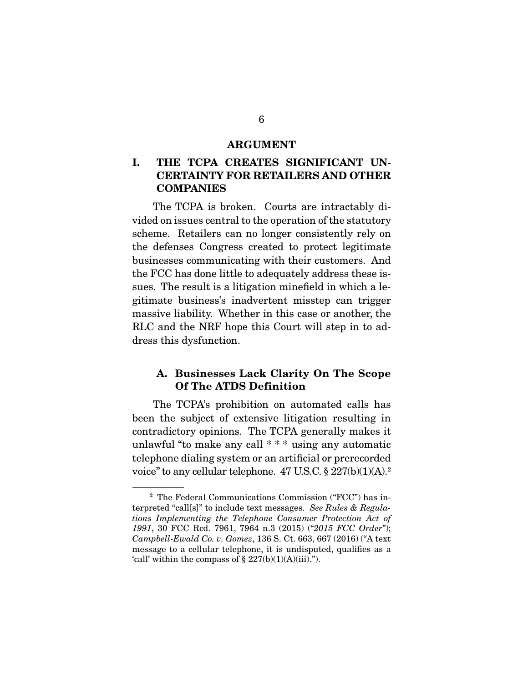#### **ARGUMENT**

## **I. THE TCPA CREATES SIGNIFICANT UN-CERTAINTY FOR RETAILERS AND OTHER COMPANIES**

The TCPA is broken. Courts are intractably divided on issues central to the operation of the statutory scheme. Retailers can no longer consistently rely on the defenses Congress created to protect legitimate businesses communicating with their customers. And the FCC has done little to adequately address these issues. The result is a litigation minefield in which a legitimate business's inadvertent misstep can trigger massive liability. Whether in this case or another, the RLC and the NRF hope this Court will step in to address this dysfunction.  $\frac{d}{dx}$  the this dystematic distribution.

### **A. Businesses Lack Clarity On The Scope Of The ATDS Definition**

The TCPA's prohibition on automated calls has<br>been the subject of extensive litigation resulting in contradictory opinions. The TCPA generally makes it unlawful "to make any call  $***$ " using any automatic telephone dialing system or an artificial or prerecorded  $\frac{1}{2}$  telephone dialing system or an artificial or present  $\frac{1}{2}$ voice to any centuar telephone.  $47$  U.S.C.  $8$   $227(0)(1)(A)$ .

Ine Federal Communications Commission (FCC) has in-<br>terpreted "call[s]" to include text messages. See Rules & Regula-<br>tions Implementing the Telephone Consumer Protection Act of tions Implementing the Telephone Consumer Protection Act of <sup>1991</sup>, 30 FCC Rcd. 7961, 7964 n.3 (2015) ("2015 FCC Order"); Campbell-Ewald Co. v. Gomez, 136 S. Ct. 663, 667 (2016) ("A text message to a cellular telephone, it is undisputed, qualifies as a 'call' within the compass of  $\S 227(b)(1)(A)(iii)$ .").  $\sum_{i=1}^{n}$  with  $\sum_{i=1}^{n}$  and  $\sum_{i=1}^{n}$  and  $\sum_{i=1}^{n}$  and  $\sum_{i=1}^{n}$ .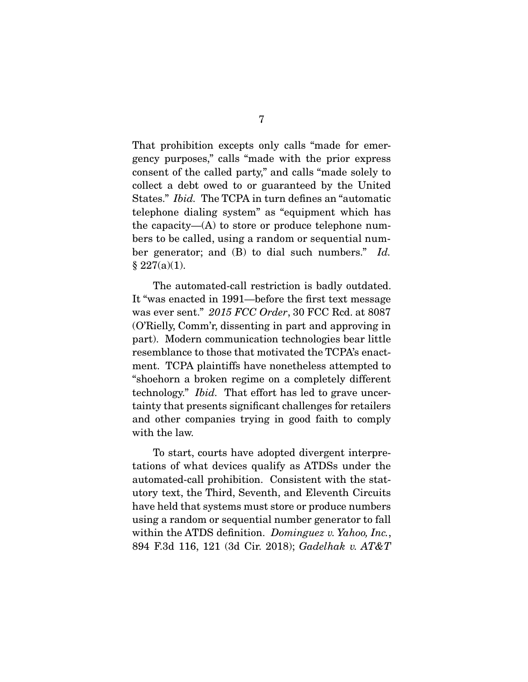That prohibition excepts only calls "made for emergency purposes," calls "made with the prior express consent of the called party," and calls "made solely to collect a debt owed to or guaranteed by the United States." *Ibid.* The TCPA in turn defines an "automatic<br>telephone dieling system" as "equipment which has telephone dialing system" as "equipment which has the capacity— $(A)$  to store or produce telephone numbers to be called, using a random or sequential number generator; and (B) to dial such numbers." Id.  $\bullet$  227(a)

The automated-call restriction is badly outdated.<br>It "was enacted in 1991—before the first text message was ever sent."  $2015$  FCC Order, 30 FCC Rcd. at 8087 (O'Rielly, Comm'r, dissenting in part and approving in resemblance to those that motivated the TCPA's enactment. TCPA plaintiffs have nonetheless attempted to "shoehorn a broken regime on a completely different  $\frac{1}{2}$  technology." *Ibid.* That effort has led to grave uncertainty that presents significant challenges for retailers<br>and other companies trying in good faith to comply with the law. with the law.

To start, courts have adopted divergent interpre-<br>tations of what devices qualify as ATDSs under the automated-call prohibition. Consistent with the statutory text, the Third, Seventh, and Eleventh Circuits have held that systems must store or produce numbers using a random or sequential number generator to fall within the ATDS definition.  $Dominguez v. Yahoo, Inc.,$ <br>894 E 3d 116 121 (3d Cir. 2018):  $Gadelhab v. ATER$ 894 F.3d 116, 121 (3d Cir. 2018); Gadelhak v. AT&T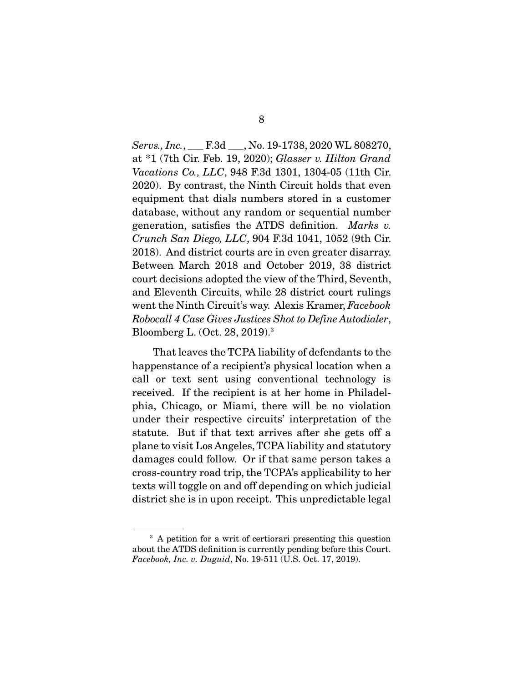Servs., Inc., \_\_\_ F.3d \_\_\_, No. 19-1738, 2020 WL 808270, at \*1 (7th Cir. Feb. 19, 2020); Glasser v. Hilton Grand Vacations Co., LLC, 948 F.3d 1301, 1304-05 (11th Cir. 2020). By contrast, the Ninth Circuit holds that even equipment that dials numbers stored in a customer database, without any random or sequential number  $d$  diatom or sequential number of  $d$  and  $d$  and  $d$  and  $d$  and  $d$  and  $d$  and  $d$  and  $d$  and  $d$  and  $d$  and  $d$  and  $d$  and  $d$  and  $d$  and  $d$  and  $d$  and  $d$  and  $d$  and  $d$  and  $d$  and  $d$  and  $d$  and  $d$  and  $d$ Crunch San Diego, LLC, 904 F.3d 1041, 1052 (9th Cir. 2018). And district courts are in even greater disarray. Between March 2018 and October 2019, 38 district court decisions adopted the view of the Third, Seventh, and Eleventh Circuits, while 28 district court rulings went the Ninth Circuit's way. Alexis Kramer, Facebook<br>Rebogall A Case Gives, Justices Shot to Define Autodialer Robocall 4 Case Gives Justices Shot to Define Autodialer, Bloomberg L. (Oct. 28, 2019).3

That leaves the TCPA liability of defendants to the happenstance of a recipient's physical location when a call or text sent using conventional technology is received. If the recipient is at her home in Philadelphia, Chicago, or Miami, there will be no violation under their respective circuits' interpretation of the statute. But if that text arrives after she gets off a plane to visit Los Angeles, TCPA liability and statutory damages could follow. Or if that same person takes a cross-country road trip, the TCPA's applicability to her texts will toggle on and off depending on which judicial texts will togget on and on acpending on which judicial district she is in upon  $\mathbf{r}$  in upon receipt.

 $3$  A petition for a writ of certiorari presenting this question about the ATDS definition is currently pending before this Court. about the ATDS defnition is currently pending before this Court. Facebook, Inc. v. Duguid, No. 19-511 (U.S. Oct. 17, 2019).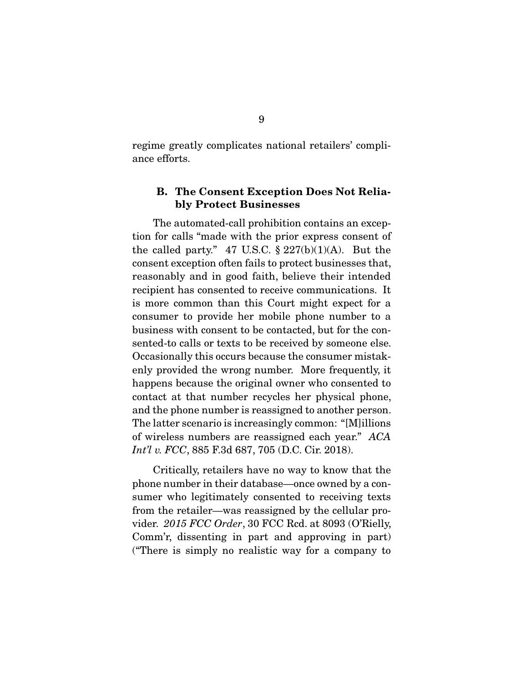regime greatly complicates national retailers' compliance efforts. ance efforts.

### **B. The Consent Exception Does Not Reliably Protect Businesses**

The automated-call prohibition contains an exception for calls "made with the prior express consent of the called party." 47 U.S.C.  $\S 227(b)(1)(A)$ . But the consent exception often fails to protect businesses that, reasonably and in good faith, believe their intended recipient has consented to receive communications. It is more common than this Court might expect for a consumer to provide her mobile phone number to a business with consent to be contacted, but for the consented-to calls or texts to be received by someone else. Occasionally this occurs because the consumer mistakenly provided the wrong number. More frequently, it happens because the original owner who consented to contact at that number recycles her physical phone, and the phone number is reassigned to another person. The latter scenario is increasingly common: "[M] illions of wireless numbers are reassigned each year."  $ACA$ <br> $Int''$ ,  $FCC$  885 F3d 687 705 (D.C. Cir. 2018) Int'l v. FCC, 885 F.3d 687, 705 (D.C. Cir. 2018).

Critically, retailers have no way to know that the phone number in their database—once owned by a consumer who legitimately consented to receiving texts from the retailer—was reassigned by the cellular provider.  $2015$  FCC Order, 30 FCC Rcd. at 8093 (O'Rielly, Comm'r, dissenting in part and approving in part)<br>("There is simply no realistic way for a company to ( $\Gamma$  is simply no realistic way for a company to  $\Gamma$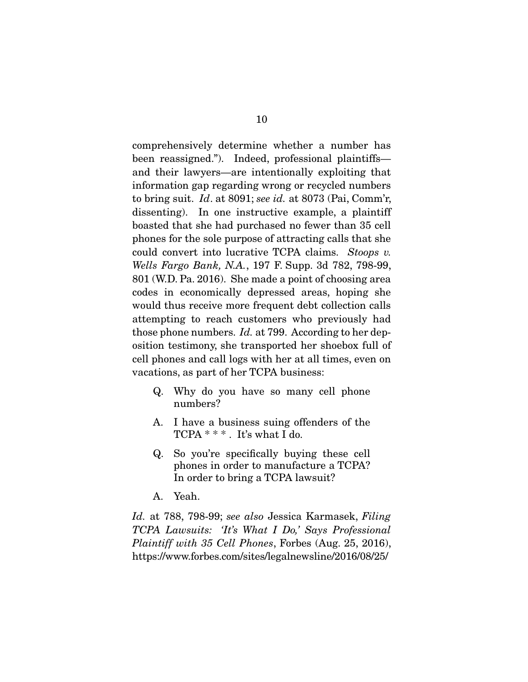comprehensively determine whether a number has<br>been reassigned."). Indeed, professional plaintiffs and their lawyers—are intentionally exploiting that information gap regarding wrong or recycled numbers to bring suit. Id. at 8091; see id. at 8073 (Pai, Comm'r, dissonting). In one instructive example, a plaintiff dissenting). In one instructive example, a plaintiff boasted that she had purchased no fewer than 35 cell phones for the sole purpose of attracting calls that she phones for the sole purpose of attractive TCPA claims. Stoops v.<br>Wells Eggs Bank, MA, 197 F Supp, 2d 782, 798, 99 Wells Fargo Bank, N.A., 197 F. Supp. 3d 782, 798-99, 801 (W.D. Pa. 2016). She made a point of choosing area codes in economically depressed areas, hoping she would thus receive more frequent debt collection calls attempting to reach customers who previously had those phone numbers. Id. at 799. According to her dep-<br>exition testimony, she transported her sheeper full of osition testimony, she transported her shoebox full of cell phones as part of her TCDA husiness; vacations, as part of her  $\geq$  the term  $\geq$ 

- Q. Why do you have so many cell phone numbers?
- $TCPA$   $***$  It's what I do TCPA \* \* \* . It's what I do.
- Q. So you're specifcally buying these cell phones in order to manufacture a TCPA?<br>In order to bring a TCPA lawsuit?  $\sum_{i=1}^{n}$  order to bring a TCPA lawsuit?
- A. Yeah.

Id. at 788, 798-99; see also Jessica Karmasek, Filing TCPA Lawsuits: 'It's What I Do,' Says Professional Plaintiff with 35 Cell Phones, Forbes (Aug. 25, 2016), https://www.forbes.com/sites/legalnewsline/2016/08/25/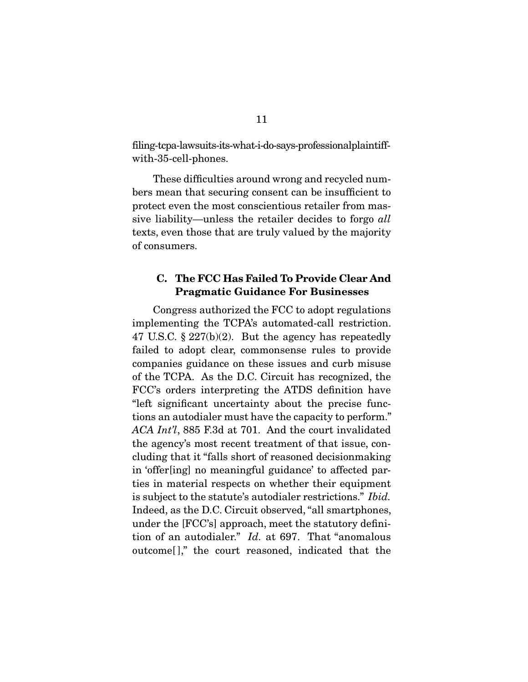$\frac{1}{2}$  is the same in the same is a says-professional planet in  $\frac{1}{2}$ with-35-cell-phones.  $\mathbf{F}$ 

These difficulties around wrong and recycled numbers mean that securing consent can be insufficient to protect even the most conscientious retailer from massive liability—unless the retailer decides to forgo *all*<br>toxts over these that are truly valued by the majority texts, even those that are truly valued by the majority of consumers.

### **C. The FCC Has Failed To Provide Clear And Pragmatic Guidance For Businesses**

Congress authorized the FCC to adopt regulations<br>implementing the TCPA's automated-call restriction. 47 U.S.C.  $\S 227(b)(2)$ . But the agency has repeatedly failed to adopt clear, commonsense rules to provide companies guidance on these issues and curb misuse of the TCPA. As the D.C. Circuit has recognized, the FCC's orders interpreting the ATDS definition have "left significant uncertainty about the precise functions an autodialer must have the capacity to perform."  $ACA Intil$ , 885 F.3d at 701. And the court invalidated the agency's most recent treatment of that issue conthe agency's most recent treatment of that issue, con-<br>cluding that it "falls short of reasoned decision making in 'offer[ing] no meaning ful guidance' to affected parties in material respects on whether their equipment is subject to the statute's autodialer restrictions."  $Ibid.$ Indeed, as the D.C. Circuit observed, "all smartphones, under the [FCC's] approach, meet the statutory definition of an autodialer."  $Id$ , at 697. That "anomalous" entropy definition of an autodialer."  $Id$ , at 697. That "anomalous"  $\sum_{i=1}^{n}$  and  $\sum_{i=1}^{n}$  indicated that the court reasoned, indicated that the theorem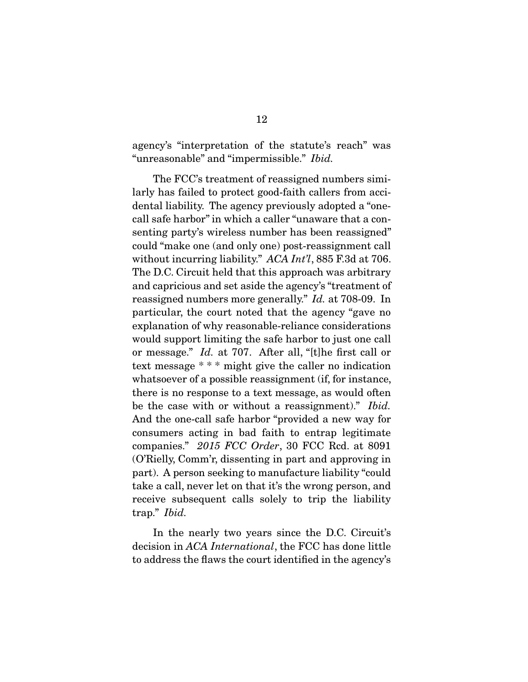"unreasonable" and "impermissible." Ibid.

The FCC's treatment of reassigned numbers similarly has failed to protect good-faith callers from accidental liability. The agency previously adopted a "onecall safe harbor" in which a caller "unaware that a consenting party's wireless number has been reassigned" could "make one (and only one) post-reassignment call without incurring liability." ACA Int'l, 885 F.3d at 706.<br>The D.C. Circuit hold that this approach was arbitrary. The D.C. Circuit held that this approach was arbitrary and capricious and set aside the agency's "treatment of reassigned numbers more generally."  $Id$  at 708-09. In particular, the court pated that the agency "gave no particular, the court noted that the agency "gave no would support limiting the safe harbor to just one call or message." Id. at 707. After all, "[t]he first call or<br>tort message."  $*$  \* might give the caller no indication text message \* \* \* might give the caller no indication<br>whatsoever of a possible reassignment (if, for instance, there is no response to a text message, as would often be the case with or without a reassignment)." Ibid. And the one-call safe harbor "provided a new way for consumers acting in bad faith to entrap legitimate companies."  $2015$  FCC Order, 30 FCC Rcd. at 8091 (O'Rielly, Comm'r, dissenting in part and approving in take a call, never let on that it's the wrong person, and receive subsequent calls solely to trip the liability  $trap.$ " Ibid.

decision in  $ACA$  International, the FCC has done little to address the flaws the court identified in the agency's to address the faws the court identifed in the agency's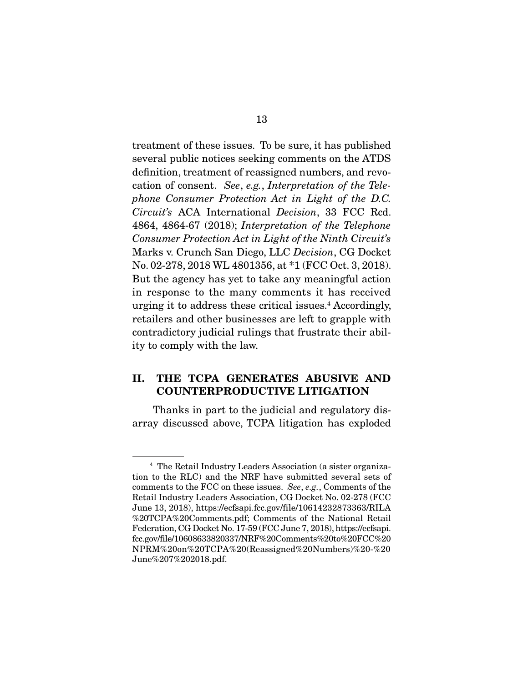treatment of these issues. To be sure, it has published definition, treatment of reassigned numbers, and revodefinition, treatment of reasongers numbers, and revo-<br>cation of consent. See, e.g., Interpretation of the Tele-<br>phone Consumer Protection Act in Light of the DC phone Consumer Protection Act in Light of the D.C. Circuit's ACA International Decision, 33 FCC Rcd. 4864, 4864-67 (2018); Interpretation of the Telephone Consumer Protection Act in Light of the Ninth Circuit's Marks v. Crunch San Diego, LLC Decision, CG Docket No. 02-278, 2018 WL 4801356, at  $*1$  (FCC Oct. 3, 2018). But the agency has yet to take any meaningful action in response to the many comments it has received urging it to address these critical issues.<sup>4</sup> Accordingly, urging it to address these critical issues. Accordingly,<br>retailors and other businesses are left to grapple with contradictory judicial rulings that frustrate their ability to comply with the law. ity to complete  $\mathbf{r}$  with the law.

## **II. THE TCPA GENERATES ABUSIVE AND COUNTERPRODUCTIVE LITIGATION**

Thanks in part to the judicial and regulatory and regulated  $\frac{1}{2}$  discussed above, TCPA litigation has exploded

<sup>&</sup>lt;sup>4</sup> The Retail Industry Leaders Association (a sister organization to the RLC) and the NRF have submitted several sets of to the RLF have submitted several sets of the<br>comments to the FCC on these issues. See, e.g., Comments of the<br>Retail Industry Leaders Association. CG Docket No. 02-278 (FCC Retail Industry Leaders Association, CG Docket No. 02-278 (FCC<br>June 13, 2018), https://ecfsapi.fcc.gov/file/10614232873363/RILA %20TCPA%20Comments.pdf; Comments of the National Retail Federation, CG Docket No. 17-59 (FCC June 7, 2018), https://ecfsapi. fcc.gov/file/10608633820337/NRF%20Comments%20to%20FCC%20 NPRM%20on%20TCPA%20(Reassigned%20Numbers)%20-%20 June%207%202018.pdf. June%207%202018.pdf.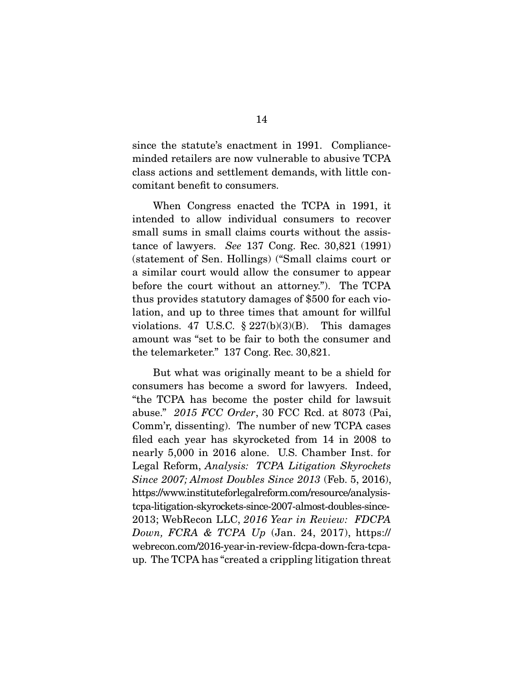since the statute's enactment in 1991. Compliance-<br>minded retailers are now vulnerable to abusive TCPA class actions and settlement demands, with little concomitant benefit to consumers. comitant beneft to consumers.

When Congress enacted the TCPA in 1991, it intended to allow individual consumers to recover small sums in small claims courts without the assistance of lawyers. See 137 Cong. Rec.  $30,821$  (1991) (statement of Sen. Hollings) ("Small claims court or before the court without an attorney."). The TCPA thus provides statutory damages of \$500 for each violation, and up to three times that amount for willful violations. 47 U.S.C.  $\S 227(b)(3)(B)$ . This damages amount was "set to be fair to both the consumer and  $\frac{1}{2}$  the tolemark tor" 137 Cong Rec. 30,891  $\mathbf{r}$  is the telemarketer. The telemarketer.

But what was originally meant to be a shield for consumers has become a sword for lawyers. Indeed, "the TCPA has become the poster child for lawsuit  $t_{\text{max}}$  abuse."  $2015$  FCC Order, 30 FCC Rcd. at 8073 (Pai,  $\text{Comm}_{\mathcal{F}}^{\text{max}}$  dissorting). The number of new TCPA cases Comm'r, dissenting). The number of new TCPA cases filed each year has skyrocketed from 14 in 2008 to nearly 5,000 in 2016 alone. U.S. Chamber Inst. for Legal Reform, Analysis: TCPA Litigation Skyrockets<br>Since 2007: Almost Doubles Since 2013 (Feb. 5, 2016) Since 2007; Almost Doubles Since 2013 (Feb. 5, 2016), https://www.instituteforlegalreform.com/resource/analysistcpa-litigation-skyrockets-since-2007-almost-doubles-since-2013; WebRecon LLC, 2016 Year in Review: FDCPA<br>Double FCRA & TCPA Up (Jan. 24, 2017), https:// Down, FCRA & TCPA Up (Jan. 24, 2017), https://<br>webrecon.com/2016-year-in-review-fdcpa-down-fcra-tcpawebrecon.com/2016-year-in-review-for-in-review-fra-tcpc  $\frac{1}{2}$  $v<sub>T</sub>$ . The TCPA has "created a crippinng indigenous threated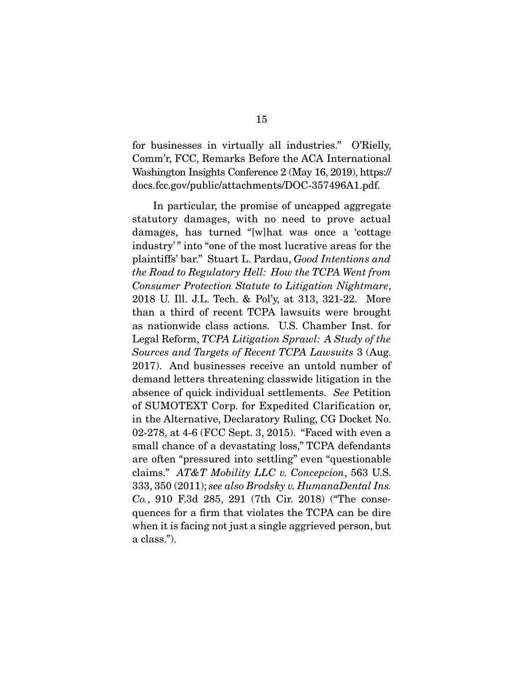for businesses in virtually all industries." O'Rielly, Washington Insights Conference 2 (May 16, 2019), https:// docs.fcc.gov/public/attachments/DOC-357496A1.pdf.  $\mathbf{d}$  docs.  $\mathbf{d}$  at taching  $\mathbf{d}$  attachments. Doctors  $\mathbf{d}$  at the set of  $\mathbf{d}$ 

In particular, the promise of uncapped aggregate statutory damages, with no need to prove actual damages, has turned "[w]hat was once a 'cottage industry" into "one of the most lucrative areas for the  $\begin{array}{l} \text{inim} \ \text{if} \ \text{inj} \ \text{inj} \ \text{inj} \ \text{inj} \ \text{inj} \ \text{inj} \ \text{inj} \ \text{inj} \ \text{inj} \ \text{inj} \ \text{inj} \ \text{inj} \ \text{inj} \ \text{inj} \ \text{inj} \ \text{inj} \ \text{inj} \ \text{inj} \ \text{inj} \ \text{inj} \ \text{inj} \ \text{inj} \ \text{inj} \ \text{inj} \ \text{inj} \ \text{inj} \ \text{inj} \ \text{inj} \ \text{in$ the Road to Regulatory Hell: How the TCPA Went from Consumer Protection Statute to Litigation Nightmare,<br>2018 U. Ill. J.L. Tech. & Pol'y, at 313, 321-22. More than a third of recent TCPA lawsuits were brought as nationwide class actions. U.S. Chamber Inst. for Legal Reform, TCPA Litigation Sprawl: A Study of the<br>Sources and Targets of Recent TCPA Lausuits 3 (Aug Sources and Targets of Recent TCPA Lawsuits 3 (Aug. 2017). And businesses receive an untold number of demand letters threatening classwide litigation in the absence of quick individual settlements. See Petition of SUMOTEYT Corp. for Expedited Clarification or of SUMOTEXT Corp. for Expedited Clarification or, in the Alternative, Declaratory Ruling, CG Docket No. 02-278, at 4-6 (FCC Sept. 3, 2015). "Faced with even a small chance of a devastating loss," TCPA defendants are often "pressured into settling" even "questionable claims."  $AT&T$  Mobility LLC v. Concepcion, 563 U.S. 333, 350 (2011); see also Brodsky v. HumanaDental Ins. Co., 910 F.3d 285, 291 (7th Cir. 2018) ("The consequences for a firm that violates the TCPA can be dire when it is facing not just a single aggrieved person, but where it is facing not just a single aggrieved person, but a class.").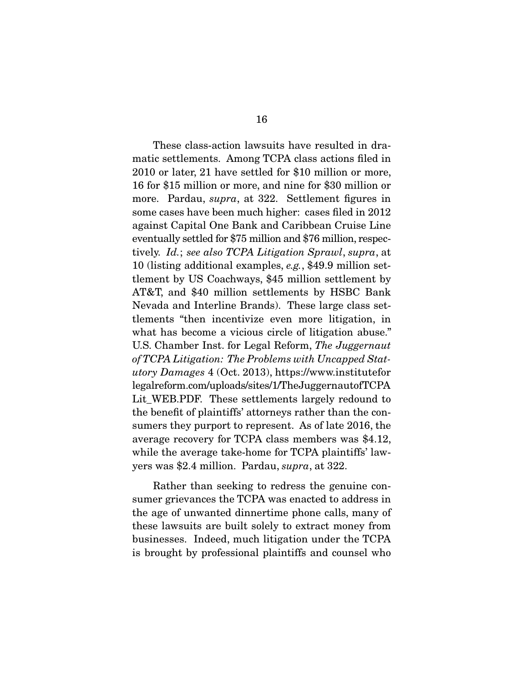These class-action lawsuits have resulted in dra-<br>matic settlements. Among TCPA class actions filed in  $2010$  or later, 21 have settled for \$10 million or more, 16 for \$15 million or more, and nine for \$30 million or more. Pardau, supra, at 322. Settlement figures in  $\frac{1}{2}$  more asses how been much bigher: asses filed in  $\frac{2019}{2012}$ some cases have been much higher: cases filed in 2012<br>against Capital One Bank and Caribbean Cruise Line eventually settled for  $$75$  million and  $$76$  million, respectively. Id.; see also TCPA Litigation Sprawl, supra, at  $10$  (listing additional examples e.g. \$49.9 million ast 10 (listing additional examples, *e.g.*, \$49.9 million set-<br>tlement by US Coachways, \$45 million settlement by AT&T, and  $$40$  million settlements by HSBC Bank Nevada and Interline Brands). These large class settlements "then incentivize even more litigation, in what has become a vicious circle of litigation abuse." U.S. Chamber Inst. for Legal Reform, The Juggernaut<br>of TCPA Litigation: The Problems with Uncanned Stat. of TCPA Litigation: The Problems with Uncapped Statutory Damages 4 (Oct. 2013), https://www.institutefor<br>legalreform.com/uploads/sites/1/TheJuggernautofTCPA Lit\_WEB.PDF. These settlements largely redound to the benefit of plaintiffs' attorneys rather than the consumers they purport to represent. As of late 2016, the average recovery for TCPA class members was \$4.12, while the average take-home for TCPA plaintiffs' lawwhile the average take-home for  $TCT$  plaintiffs  $200$ .<br>yers was \$2.4 million. Pardau,  $supra$ , at 322.

Rather than seeking to redress the genuine con-<br>sumer grievances the TCPA was enacted to address in the age of unwanted dinnertime phone calls, many of these lawsuits are built solely to extract money from businesses. Indeed, much litigation under the TCPA businesses. Indeed, much and the TCPA counsel who is brought by professional planet whose and counsel whose  $\mathbb{R}$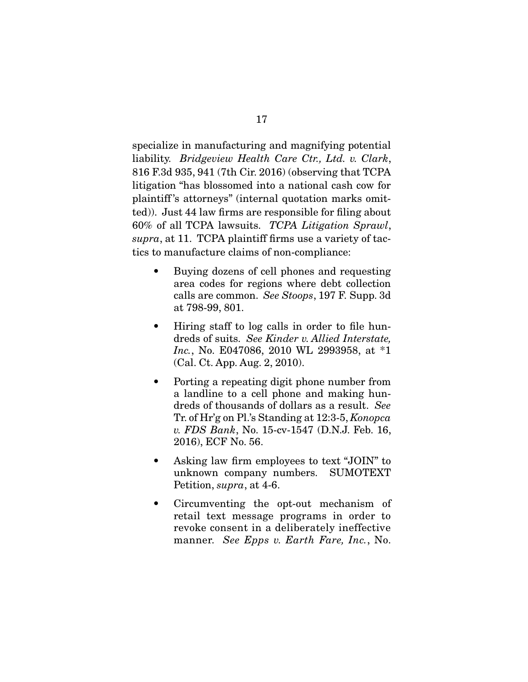liability. Bridgeview Health Care Ctr., Ltd. v. Clark, 816 F.3d 935, 941 (7th Cir. 2016) (observing that TCPA plaintiff's attorneys" (internal quotation marks omitted)). Just 44 law firms are responsible for filing about  $60\%$  of all TCPA lawsuits. TCPA Litigation Sprawl,  $supra$ , at 11. TCPA plaintiff firms use a variety of tac-<br>tics to manufacture claims of non-compliance: tics to manufacture claims of non-compliance:

- Buying dozens of cell phones and requesting<br>area codes for regions where debt collection  $\bullet$ calls are common. *See Stoops*, 197 F. Supp. 3d<br>at 798-99 801 at 798-99, 801.
- dreds of suits. See Kinder v. Allied Interstate,<br>Inc. No.  $FA47086$  2010 WI. 2993958, at \*1 *Inc.*, No. E047086, 2010 WL 2993958, at  $*1$  (Cal. Ct. App. Aug. 2, 2010).  $\lambda$  can consequence  $\beta$  and  $\lambda$
- Porting a repeating digit phone number from<br>a landline to a cell phone and making hun- $\bullet$ dreds of thousands of dollars as a result. See<br>Tr of Hr's on Pl's Standing at 12:3-5 Kononca Tr. of Hr'g on Pl.'s Standing at 12:3-5, Konopca v. FDS Bank, No. 15-cv-1547 (D.N.J. Feb. 16, 2016), ECF No. 56. 2016), ECF No. 56.
- Asking law firm employees to text "JOIN" to unknown company numbers. SUMOTEXT  $\bullet$ Petition, supra, at  $4-6$ .
- Circumventing the opt-out mechanism of retail text message programs in order to  $\bullet$ revoke consent in a deliberately ineffective manner. See Epps v. Earth Fare, Inc., No.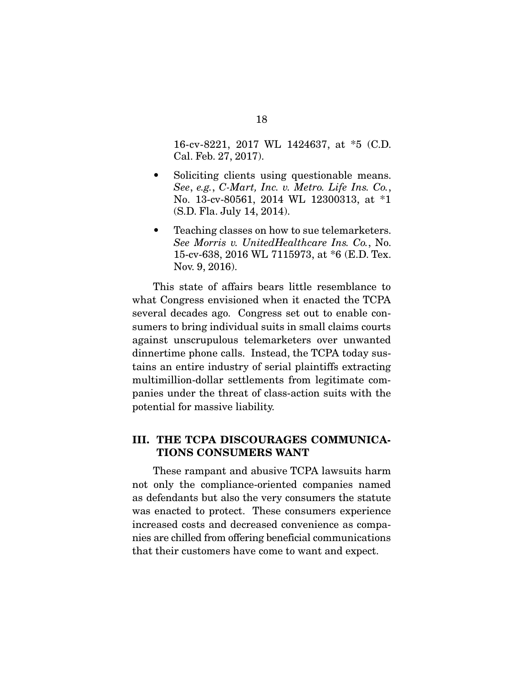16-cv-8221, 2017 WL 1424637, at \*5 (C.D. Cal. Feb. 27, 2017).

- $\text{See, e.g., C-Mart, Inc. v. Metro. Life Ins. Co., No. 13-cv-80561, 2014 WL. 12300313, at *1.}$  $(N \cap \text{F1s} \cdot \text{J1s} \cdot 14 \cdot 2014)$  $(3.212 + 2.347 + 3.22)$   $-3.214 - 3.21$
- See Morris v. UnitedHealthcare Ins. Co., No.<br>15-cv-638 2016 WL 7115973 at \*6 (E.D. Tex.)  $N_{\text{ov}}$  9 2016) nov. *2*, 2016).

This state of affairs bears little resemblance to what Congress envisioned when it enacted the TCPA several decades ago. Congress set out to enable consumers to bring individual suits in small claims courts against unscrupulous telemarketers over unwanted dinnertime phone calls. Instead, the TCPA today sustains an entire industry of serial plaintiffs extracting. multimillion-dollar settlements from legitimate companies under the threat of class-action suits with the parties under the threat of class-action suits with the threat of class-action suits with the threat of contraction suits with the threat of contraction suits with the threat of the threat of the threat of the threat of th  $\mathbf{P}$  is the massive limit of massive limit  $\mathbf{P}$ .

#### **III. THE TCPA DISCOURAGES COMMUNICA-TIONS CONSUMERS WANT**

These rampant and abusive TCPA lawsuits harm<br>not only the compliance-oriented companies named as defendants but also the very consumers the statute was enacted to protect. These consumers experience increased costs and decreased convenience as companies are chilled from offering beneficial communications that their customers have come to want and expect. that their customers have come to want and expect.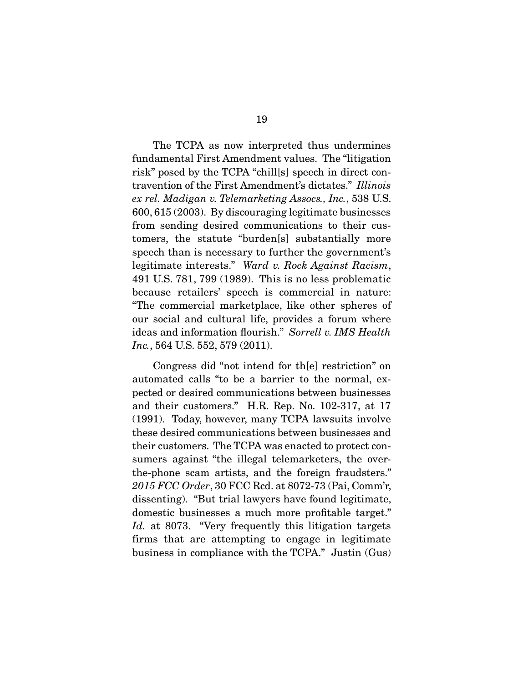The TCPA as now interpreted thus undermines<br>fundamental First Amendment values. The "litigation" risk" posed by the TCPA "chills | speech in direct contravention of the First Amendment's dictates." Illinois<br>ex rel. Madigan y Telemarketing Assocs. Inc., 538 U.S. ex rel. Madigan v. Telemarketing Assocs., Inc., 538 U.S.<br>600, 615 (2003). By discouraging legitimate businesses from sending desired communications to their customers, the statute "burden[s] substantially more speech than is necessary to further the government's legitimate interests." Ward v. Rock Against Racism,<br> $\frac{1}{4}$  118 781 700 (1080) This is no loss problematic 491 U.S. 781, 799 (1989). This is no less problematic "The commercial marketplace, like other spheres of our social and cultural life, provides a forum where ideas and information flourish." Sorrell v. IMS Health Inc., 564 U.S. 552, 579 (2011).

Congress did "not intend for th[e] restriction" on<br>automated calls "to be a barrier to the normal, expected or desired communications between businesses and their customers." H.R. Rep. No.  $102-317$ , at  $17$  $(1991)$ . Today, however, many TCPA lawsuits involve these desired communications between businesses and their customers. The TCPA was enacted to protect consumers against "the illegal telemarketers, the overthe phone scam artists, and the foreign fraudsters."  $t_{2015}$  FCC Order, 30 FCC Rcd. at 8072-73 (Pai, Comm'r, dissorting). "But trial lawyers have found logitimate. dissenting). "But trial lawyers have found legitimate, domestic businesses a much more profitable target."  $Id.$  at 8073. "Very frequently this litigation targets  $\lim_{n \to \infty}$  that are attempting to engage in legitimate.  $f_{\rm F}$  and  $f_{\rm F}$  are attempting to engage in  $f_{\rm F}$  and  $f_{\rm F}$  and  $f_{\rm F}$  are  $f_{\rm F}$  and  $f_{\rm F}$  are  $f_{\rm F}$  and  $f_{\rm F}$  are  $f_{\rm F}$  and  $f_{\rm F}$  are  $f_{\rm F}$  and  $f_{\rm F}$  are  $f_{\rm F}$  and  $f_{\rm F}$  are  $f$  $\mathbf{r}$  is the TCPA. The TCPA in the TCPA  $\mathbf{r}$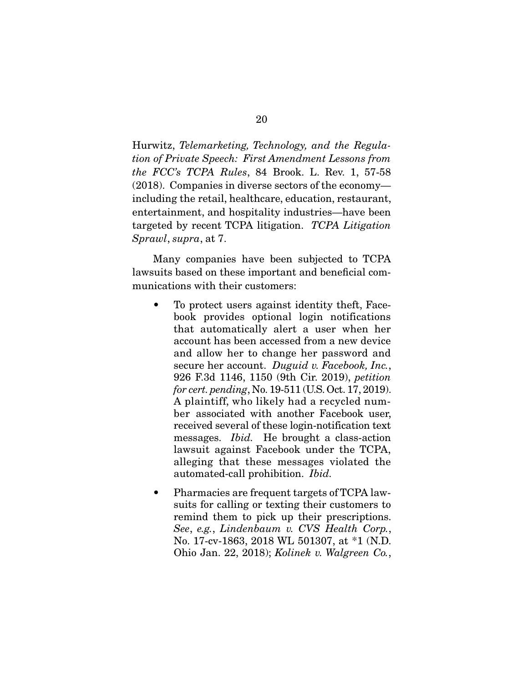Hurwitz, Telemarketing, Technology, and the Regulation of Private Speech: First Amendment Lessons from the FCC's TCPA Rules, 84 Brook. L. Rev. 1, 57-58 (2018). Companies in diverse sectors of the economy including the retail, healthcare, education, restaurant, entertainment, and hospitality industries—have been targeted by recent TCPA litigation. *TCPA Litigation*<br>Sprawl supra at 7 Sprawl, supra, at 7.

Many companies have been subjected to TCPA<br>lawsuits based on these important and beneficial communications with their customers: munications with their customers:

- To protect users against identity theft, Face-<br>book provides optional login notifications that automatically alert a user when her account has been accessed from a new device and allow her to change her password and secure her account.  $Duguid$  v. Facebook, Inc., 926 F.3d 1146 1150 (9th Cir. 2019) petition 926 F.3d 1146, 1150 (9th Cir. 2019), petition for cert. pending, No. 19-511 (U.S. Oct. 17, 2019).<br>A plaintiff, who likely had a recycled number associated with another Facebook user, received several of these login-notification text messages. *Ibid*. He brought a class-action<br>lawsuit against Facebook under the TCPA lawsuit against Facebook under the TCPA, alleging that these messages violated the alleging that these messages victors are automated-call prohibition. *Ibid.*
- Pharmacies are frequent targets of TCPA law-<br>suits for calling or texting their customers to  $\bullet$ remind them to pick up their prescriptions. See, e.g., Lindenbaum v. CVS Health Corp.,<br>No. 17-cy-1863, 2018 WL 501307, at  $*1$  (N D) Ohio Jan. 22, 2018); Kolinek v. Walgreen Co.,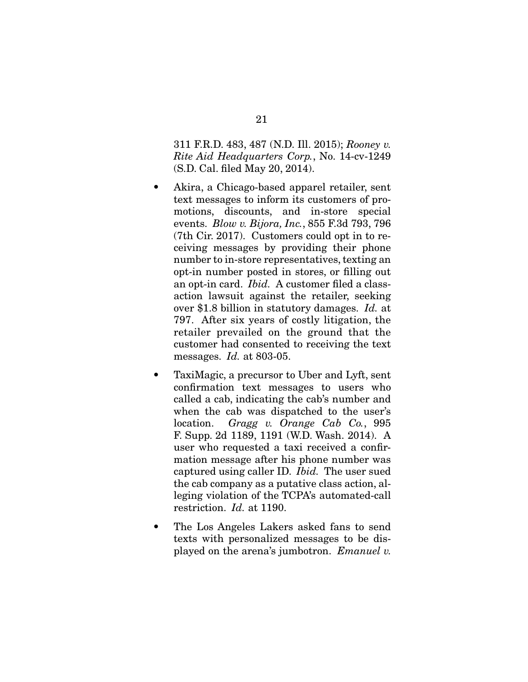311 F.R.D. 483, 487 (N.D. Ill. 2015); Rooney v. Rite Aid Headquarters Corp., No. 14-cv-1249 (S.D. Cal. fled May 20, 2014).

- $\bullet$ Akira, a Chicago-based apparel retailer, sent text messages to inform its customers of promotions, discounts, and in-store special events.  $Blow v. Bijora, Inc., 855 F.3d 793, 796$ <br>(7th Cir. 2017) Customers could ont in to re-(7th Cir. 2017). Customers could opt in to renumber to in-store representatives, texting an opt-in number posted in stores, or filling out an opt-in card. *Ibid.* A customer filed a class-<br>action lawsuit against the retailer seeking over \$1.8 billion in statutory damages. Id. at  $797$  After six years of costly litigation, the 797. After six years of costly litigation, the customer had consented to receiving the text customer had consented to receiving the text.
- TaxiMagic, a precursor to Uber and Lyft, sent<br>confirmation text messages to users who  $\bullet$ called a cab, indicating the cab's number and when the cab was dispatched to the user's location. Gragg v. Orange Cab Co., 995 F. Supp. 2d 1189, 1191 (W.D. Wash. 2014). A user who requested a taxi received a confirmation message after his phone number was  $\frac{1}{2}$  captured using caller ID. *Ibid.* The user sued the cab company as a putative class action althe cab company as a putative class action, al-<br>leging violation of the TCPA's automated-call restriction.  $Id$ . at 1190.
- The Los Angeles Lakers asked fans to send<br>texts with personalized messages to be dis- $\bullet$ played on the arena's jumbotron. Emanuel v.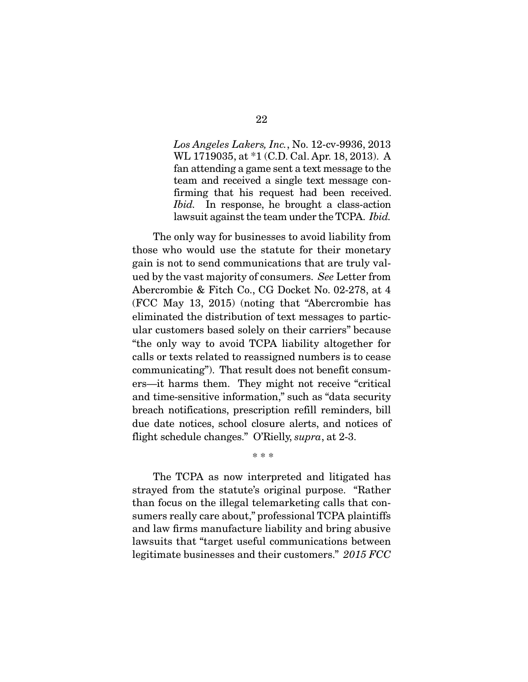Los Angeles Lakers, Inc., No. 12-cv-9936, 2013<br>WL 1719035, at \*1 (C.D. Cal. Apr. 18, 2013). A fan attending a game sent a text message to the team and received a single text message confirming that his request had been received. *fbid.* In response, he brought a class-action<br>lawsuit against the team under the TCPA *Ibid* lawsuit against the team under the TCPA. *Ibid.* 

The only way for businesses to avoid liability from<br>those who would use the statute for their monetary gain is not to send communications that are truly valued by the vast majority of consumers. See Letter from<br>Aboratorial & Fitch Co., CG Docket No. 02.278, et 4. Abercrombie & Fitch Co., CG Docket No. 02-278, at 4 (FCC May 13, 2015) (noting that "Abercrombie has eliminated the distribution of text messages to particular customers based solely on their carriers" because "the only way to avoid TCPA liability altogether for calls or texts related to reassigned numbers is to cease communicating"). That result does not benefit consumers—it harms them. They might not receive "critical and time-sensitive information," such as "data security breach notifications, prescription refill reminders, bill due date notices, school closure alerts, and notices of flight schedule changes." O'Rielly, supra, at 2-3.

The TCPA as now interpreted and litigated has strayed from the statute's original purpose. "Rather than focus on the illegal telemarketing calls that consumers really care about," professional TCPA plaintiffs and law firms manufacture liability and bring abusive law suits that "target useful communications between legitimate businesses and their customers."  $2015$   $FCC$